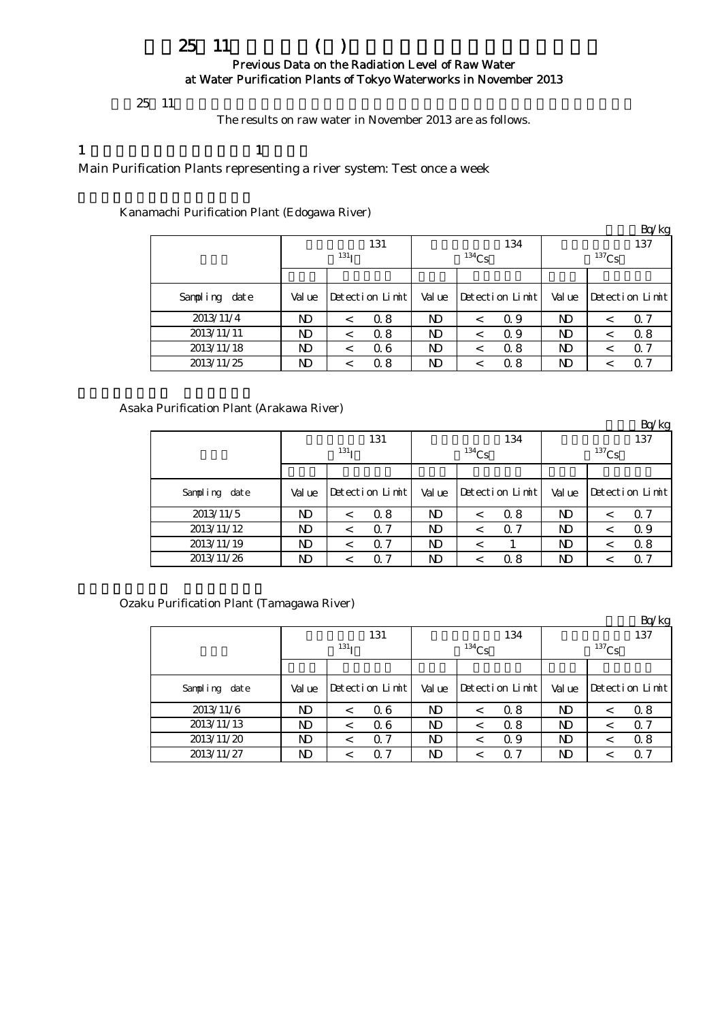# $25 \t11$  () Previous Data on the Radiation Level of Raw Water at Water Purification Plants of Tokyo Waterworks in November 2013

# $25 \t11$

The results on raw water in November 2013 are as follows.

## 1  $\qquad \qquad$  1

Main Purification Plants representing a river system: Test once a week

Kanamachi Purification Plant (Edogawa River)

|               |        |                  |     |           |          |                 |          |         | Bq/kg           |  |
|---------------|--------|------------------|-----|-----------|----------|-----------------|----------|---------|-----------------|--|
|               |        |                  | 131 |           |          | 134             | 137      |         |                 |  |
|               |        | 131 <sub>T</sub> |     |           | $134$ Cs |                 | $137$ Cs |         |                 |  |
|               |        |                  |     |           |          |                 |          |         |                 |  |
| Sampling date | Val ue | Detection Limit  |     | Value     |          | Detection Limit | Val ue   |         | Detection Limit |  |
| 2013/11/4     | ND     | $\,<\,$          | 0.8 | N)        |          | 0.9             | ND       | <       | Q 7             |  |
| 2013/11/11    | ND     | $\,<\,$          | 0.8 | N)        | $\,<\,$  | 0.9             | ND       | $\,<\,$ | 0.8             |  |
| 2013/11/18    | ND     | $\,<\,$          | 06  | ND        |          | 0.8             | ND       | <       | $\alpha$ 7      |  |
| 2013/11/25    | ND     | <                | 0.8 | <b>ND</b> |          | 0.8             | ND       |         | $\Omega$ 7      |  |

Asaka Purification Plant (Arakawa River)

|               |            |         |                 |       |          |                 |          |         | Bq/kg           |  |
|---------------|------------|---------|-----------------|-------|----------|-----------------|----------|---------|-----------------|--|
|               |            |         | 131             |       |          | 134             | 137      |         |                 |  |
|               | $^{131}$ I |         |                 |       | $134$ Cs |                 | $137$ Cs |         |                 |  |
|               |            |         |                 |       |          |                 |          |         |                 |  |
| Sampling date | Val ue     |         | Detection Limit | Value |          | Detection Limit | Val ue   |         | Detection Limit |  |
| 2013/11/5     | ND         | $\,<\,$ | 0.8             | ND    | $\,<\,$  | 0.8             | ND.      | $\,<\,$ | Q 7             |  |
| 2013/11/12    | ND         | $\,<\,$ | 0.7             | ND    | $\,<\,$  | $\alpha$ 7      | ND.      | <       | Q 9             |  |
| 2013/11/19    | ND         | <       | 0.7             | ND    |          |                 | ND.      | <       | 0.8             |  |
| 2013/11/26    | ND         | <       | $\alpha$ 7      | ND    |          | 0.8             | ND       |         | Q 7             |  |

Ozaku Purification Plant (Tamagawa River)

|               |        |                  |            |       |          |                 |                     |         | Bq/kg           |  |
|---------------|--------|------------------|------------|-------|----------|-----------------|---------------------|---------|-----------------|--|
|               |        |                  | 131        |       |          | 134             | 137                 |         |                 |  |
|               |        | 131 <sub>T</sub> |            |       | $134$ Cs |                 | $^{137}\mathrm{Cs}$ |         |                 |  |
|               |        |                  |            |       |          |                 |                     |         |                 |  |
| Sampling date | Val ue | Detection Limit  |            | Value |          | Detection Limit | Val ue              |         | Detection Limit |  |
| 2013/11/6     | ND     |                  | 06         | ND    | $\,<\,$  | 0.8             | ND                  | $\,<\,$ | 0.8             |  |
| 2013/11/13    | ND     |                  | 06         | ND    | $\,<\,$  | 0.8             | ND                  | $\,<\,$ | $\Omega$ 7      |  |
| 2013/11/20    | ND     | <                | $\alpha$ 7 | ND    | $\,<\,$  | 0.9             | ND                  | <       | 0.8             |  |
| 2013/11/27    | ND     |                  | $\Omega$ 7 | ND    |          | 0. 7            | ND                  | <       | $\alpha$ 7      |  |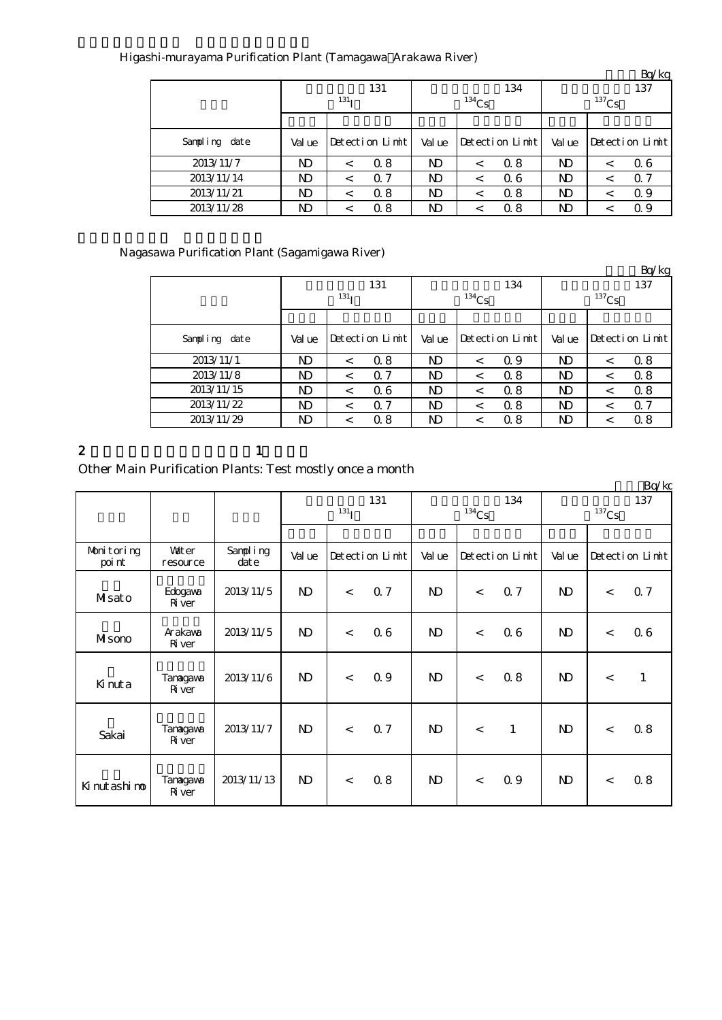| Higashi-murayama Purification Plant (Tamagawa Arakawa River) |  |
|--------------------------------------------------------------|--|
|                                                              |  |

|               |        |                  |                 |       |                     |                 |                |   | DY KR           |  |
|---------------|--------|------------------|-----------------|-------|---------------------|-----------------|----------------|---|-----------------|--|
|               |        |                  | 131             |       |                     | 134             | 137            |   |                 |  |
|               |        | 131 <sub>T</sub> |                 |       | $^{134}\mathrm{Cs}$ |                 |                |   |                 |  |
|               |        |                  |                 |       |                     |                 |                |   |                 |  |
| Sampling date | Val ue |                  | Detection Limit | Value |                     | Detection Limit | Val ue         |   | Detection Limit |  |
| 2013/11/7     | ND     | $\,<\,$          | 0.8             | ND    | $\,<\,$             | 0.8             | ND.            | < | 06              |  |
| 2013/11/14    | ND     | $\,<\,$          | $\alpha$ 7      | ND    |                     | 06              | N <sub>D</sub> | < | $\alpha$ 7      |  |
| 2013/11/21    | ND     | <                | 0.8             | ND    |                     | 0.8             | N <sub>D</sub> |   | 0.9             |  |
| 2013/11/28    | ND     |                  | 0.8             | ND    |                     | 0.8             | ND             |   | 0.9             |  |

Nagasawa Purification Plant (Sagamigawa River)

|               |        |                  |                 |        |            |                 |          |         | $L_V$ $R_S$     |  |
|---------------|--------|------------------|-----------------|--------|------------|-----------------|----------|---------|-----------------|--|
|               |        |                  | 131             |        |            | 134             | 137      |         |                 |  |
|               |        | 131 <sub>T</sub> |                 |        | $^{134}Cs$ |                 | $137$ Cs |         |                 |  |
|               |        |                  |                 |        |            |                 |          |         |                 |  |
| Sampling date | Val ue |                  | Detection Limit | Val ue |            | Detection Limit | Val ue   |         | Detection Limit |  |
| 2013/11/1     | ND     | $\,<\,$          | 0.8             | ND     |            | 0.9             | ND       | <       | 0.8             |  |
| 2013/11/8     | ND     | $\,<\,$          | $\Omega$ 7      | ND     |            | 0.8             | ND       | $\,<$   | 0.8             |  |
| 2013/11/15    | ND     | $\,<\,$          | 06              | ND     | $\,<\,$    | 0.8             | ND       | $\,<\,$ | 0.8             |  |
| 2013/11/22    | ND     | $\,<\,$          | $\alpha$ 7      | ND     |            | 0.8             | ND       | <       | 0.7             |  |
| 2013/11/29    | ND     | $\,<\,$          | 0.8             | ND     | <          | 0.8             | ND       | $\,<\,$ | 0.8             |  |

2 and  $\lambda$  1

Other Main Purification Plants: Test mostly once a month

|                      |                            |                      |                   |       |                 |              |       |                 |              |       | Bq/kg           |
|----------------------|----------------------------|----------------------|-------------------|-------|-----------------|--------------|-------|-----------------|--------------|-------|-----------------|
|                      |                            |                      | 131<br>$^{131}$ I |       |                 | $134$ Cs     | 134   | 137<br>$137$ Cs |              |       |                 |
|                      |                            |                      |                   |       |                 |              |       |                 |              |       |                 |
| Monitoring<br>poi nt | <b>Vait er</b><br>resource | Sampling<br>$\det e$ | Val ue            |       | Detection Limit | Value        |       | Detection Limit | Val ue       |       | Detection Limit |
| Msato                | Edogava<br><b>R</b> iver   | 2013/11/5            | $\mathbf{D}$      | $\lt$ | 0.7             | $\mathbf{N}$ | $\,<$ | Q <sub>7</sub>  | $\mathbf{D}$ | $\,<$ | 0.7             |
| Misono               | Arakawa<br><b>R</b> iver   | 2013/11/5            | $\mathbf{N}$      | $\lt$ | 06              | $\mathbf{N}$ | $\,<$ | 06              | $\mathbf{D}$ | $\,<$ | 0.6             |
| Kinuta               | Tanagawa<br><b>R</b> iver  | 2013/11/6            | $\mathbf{D}$      | $\lt$ | 0.9             | $\mathbf{D}$ | $\,<$ | 0.8             | $\mathbf{D}$ | $\lt$ | $\mathbf{1}$    |
| Sakai                | Tanagawa<br><b>R</b> iver  | 2013/11/7            | $\mathbf{D}$      | $\lt$ | 0.7             | $\mathbf{D}$ | $\,<$ | $\mathbf{1}$    | $\mathbf{D}$ | $\lt$ | 0.8             |
| Ki nut ashi no       | Tanagawa<br>River          | 2013/11/13           | $\mathbf{D}$      | $\lt$ | 0.8             | $\mathbf{D}$ | $\,<$ | 0.9             | $\mathbf{D}$ | $\lt$ | 0.8             |

 $Br/kg$ 

 $Rn/kg$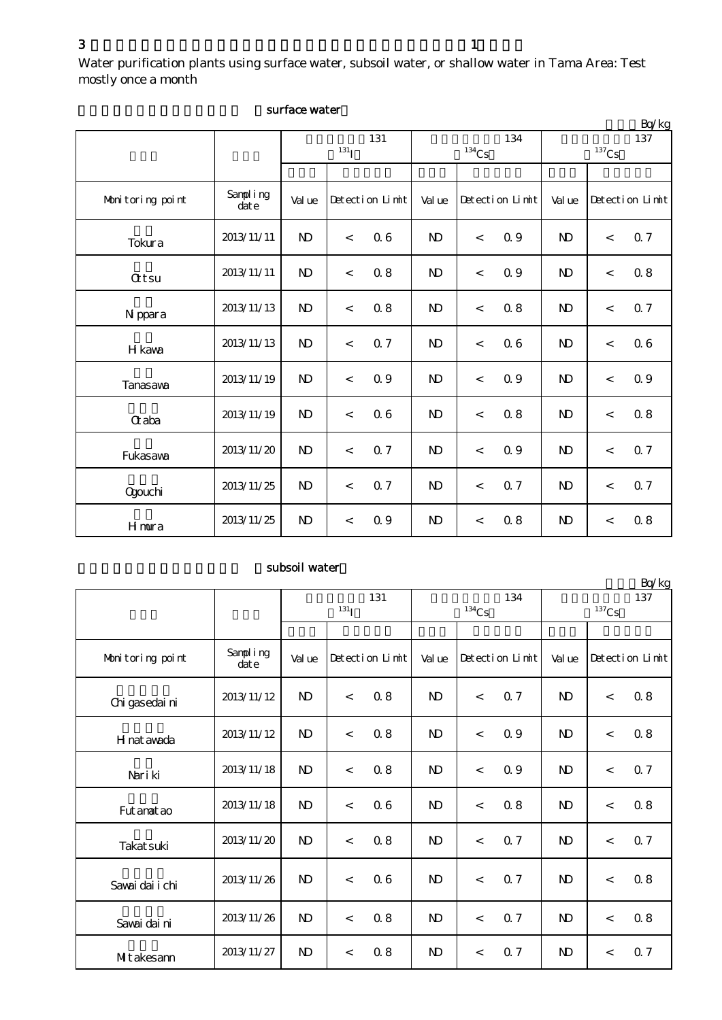Water purification plants using surface water, subsoil water, or shallow water in Tama Area: Test mostly once a month

|                  |                  |                         |       |                 |              |                          |                 |                            |         | Bq/kg           |
|------------------|------------------|-------------------------|-------|-----------------|--------------|--------------------------|-----------------|----------------------------|---------|-----------------|
|                  |                  | 131<br>131 <sub>I</sub> |       |                 |              | $^{134}\mathrm{Cs}$      | 134             | 137<br>$^{137}\mathrm{Cs}$ |         |                 |
|                  |                  |                         |       |                 |              |                          |                 |                            |         |                 |
| Monitoring point | Sampling<br>date | Val ue                  |       | Detection Limit | Val ue       |                          | Detection Limit | Val ue                     |         | Detection Limit |
| Tokura           | 2013/11/11       | N <sub>D</sub>          | $\,<$ | 06              | $\mathbf{N}$ | $\,<$                    | 0.9             | $\mathbf{N}$               | $\,<$   | 0.7             |
| <b>Qtsu</b>      | 2013/11/11       | $\mathbf{N}$            | $\,<$ | 0.8             | $\mathbf{N}$ | $\lt$                    | Q 9             | $\mathbf{N}$               | $\lt$   | 0.8             |
| N ppara          | 2013/11/13       | N <sub>D</sub>          | $\lt$ | 0.8             | $\mathbf{N}$ | $\lt$                    | $0.8\,$         | $\mathbf{D}$               | $\,<$   | 0.7             |
| H kawa           | 2013/11/13       | N <sub>D</sub>          | $\,<$ | 0.7             | $\mathbf{N}$ | $\,<$                    | 06              | N <sub>D</sub>             | $\,<\,$ | 0.6             |
| Tanasawa         | 2013/11/19       | N <sub>D</sub>          | $\,<$ | 0.9             | $\mathbf{N}$ | $\lt$                    | Q 9             | $\mathbf{N}$               | $\,<$   | Q 9             |
| <b>Q</b> aba     | 2013/11/19       | N <sub>D</sub>          | $\,<$ | 06              | $\mathbf{N}$ | $\lt$                    | 0.8             | $\mathbf{D}$               | $\lt$   | 0.8             |
| Fukasawa         | 2013/11/20       | $\mathbf{N}$            | $\lt$ | 0.7             | $\mathbf{N}$ | $\,<$                    | Q 9             | $\mathbf{N}$               | $\lt$   | 0.7             |
| <b>Ogouchi</b>   | 2013/11/25       | $\mathbf{N}$            | $\,<$ | $0.7\,$         | $\mathbf{N}$ | $\overline{\phantom{a}}$ | 0.7             | $\mathbf{N} \mathbf{D}$    | $\lt$   | 0.7             |
| Hmura            | 2013/11/25       | $\mathbf{N}$            | $\,<$ | 0.9             | $\mathbf{N}$ | $\,<\,$                  | 0.8             | $\mathbf{N} \mathbf{D}$    | $\lt$   | $0.8\,$         |

### surface water

## subsoil water

|                  |                  | 131<br>131 <sub>I</sub> |       |                 |              | $134$ Cs                 | 134             | DQ/KR<br>137<br>$137$ Cs |       |                 |
|------------------|------------------|-------------------------|-------|-----------------|--------------|--------------------------|-----------------|--------------------------|-------|-----------------|
|                  |                  |                         |       |                 |              |                          |                 |                          |       |                 |
| Monitoring point | Sampling<br>date | Val ue                  |       | Detection Limit | Val ue       |                          | Detection Limit | Val ue                   |       | Detection Limit |
| Chi gasedai ni   | 2013/11/12       | $\mathbf{N}$            | $\,<$ | 0.8             | $\mathbf{N}$ | $\,<$                    | <b>Q</b> 7      | $\mathbf{N}$             | $\,<$ | 0.8             |
| H nat awada      | 2013/11/12       | N <sub>D</sub>          | $\lt$ | 0.8             | $\mathbf{D}$ | $\lt$                    | 0.9             | N <sub>D</sub>           | $\lt$ | 0.8             |
| Nari ki          | 2013/11/18       | N <sub>D</sub>          | $\,<$ | 0.8             | $\mathbf{D}$ | $\overline{\phantom{a}}$ | 0.9             | $\mathbf{D}$             | $\lt$ | Q 7             |
| Fut anat ao      | 2013/11/18       | $\mathbf{N}$            | $\lt$ | 06              | $\mathbf{D}$ | $\lt$                    | 0.8             | $\mathbf{D}$             | $\lt$ | 0.8             |
| Takat suki       | 2013/11/20       | N <sub>D</sub>          | $\,<$ | 0.8             | $\mathbf{N}$ | $\overline{\phantom{a}}$ | 0.7             | $\mathbf{N}$             | $\lt$ | 0.7             |
| Sawai dai i chi  | 2013/11/26       | N <sub>D</sub>          | $\,<$ | 06              | <b>ND</b>    | $\lt$                    | 0.7             | $\mathbf{D}$             | $\lt$ | 0.8             |
| Savai dai ni     | 2013/11/26       | N <sub>D</sub>          | $\lt$ | 0.8             | $\mathbf{D}$ | $\lt$                    | 0.7             | $\mathbf{N}$             | $\lt$ | 0.8             |
| Mitakesann       | 2013/11/27       | $\mathbf{D}$            | $\lt$ | 0.8             | $\mathbf{D}$ | $\,<\,$                  | 0.7             | $\mathbf{D}$             | $\,<$ | 0.7             |

 $R_0/k_0$